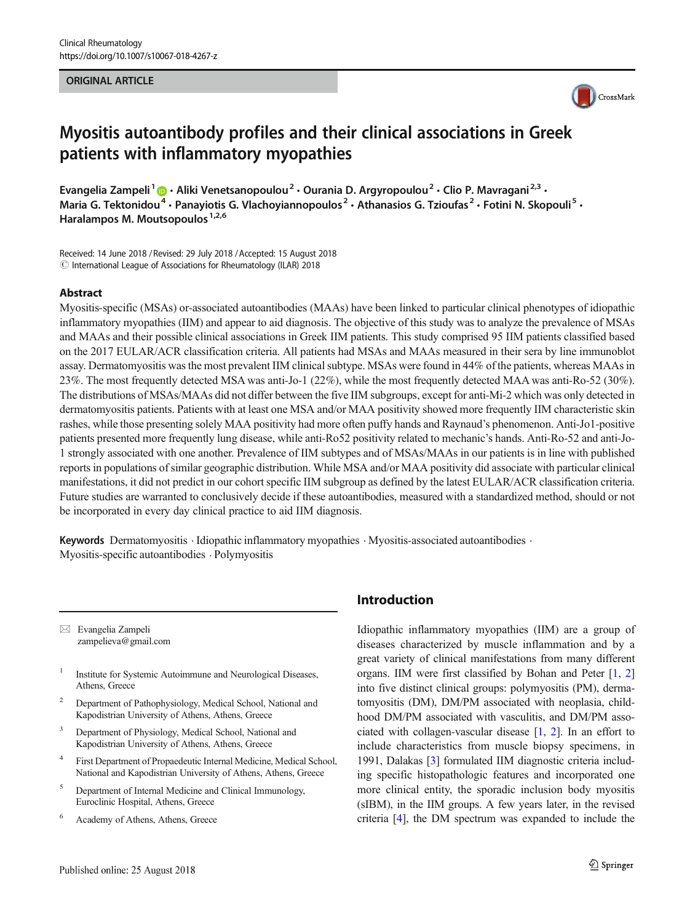### ORIGINAL ARTICLE



# Myositis autoantibody profiles and their clinical associations in Greek patients with inflammatory myopathies

Evangelia Zampeli<sup>1</sup>  $\cdot$  Aliki Venetsanopoulou<sup>2</sup>  $\cdot$  Ourania D. Argyropoulou<sup>2</sup>  $\cdot$  Clio P. Mavragani<sup>2,3</sup>  $\cdot$ Maria G. Tektonidou<sup>4</sup> · Panayiotis G. Vlachoyiannopoulos<sup>2</sup> · Athanasios G. Tzioufas<sup>2</sup> · Fotini N. Skopouli<sup>5</sup> · Haralampos M. Moutsopoulos<sup>1,2,6</sup>

Received: 14 June 2018 / Revised: 29 July 2018 /Accepted: 15 August 2018  $\odot$  International League of Associations for Rheumatology (ILAR) 2018

### Abstract

Myositis-specific (MSAs) or-associated autoantibodies (MAAs) have been linked to particular clinical phenotypes of idiopathic inflammatory myopathies (IIM) and appear to aid diagnosis. The objective of this study was to analyze the prevalence of MSAs and MAAs and their possible clinical associations in Greek IIM patients. This study comprised 95 IIM patients classified based on the 2017 EULAR/ACR classification criteria. All patients had MSAs and MAAs measured in their sera by line immunoblot assay. Dermatomyositis was the most prevalent IIM clinical subtype. MSAs were found in 44% of the patients, whereas MAAs in 23%. The most frequently detected MSA was anti-Jo-1 (22%), while the most frequently detected MAA was anti-Ro-52 (30%). The distributions of MSAs/MAAs did not differ between the five IIM subgroups, except for anti-Mi-2 which was only detected in dermatomyositis patients. Patients with at least one MSA and/or MAA positivity showed more frequently IIM characteristic skin rashes, while those presenting solely MAA positivity had more often puffy hands and Raynaud's phenomenon. Anti-Jo1-positive patients presented more frequently lung disease, while anti-Ro52 positivity related to mechanic's hands. Anti-Ro-52 and anti-Jo-1 strongly associated with one another. Prevalence of IIM subtypes and of MSAs/MAAs in our patients is in line with published reports in populations of similar geographic distribution. While MSA and/or MAA positivity did associate with particular clinical manifestations, it did not predict in our cohort specific IIM subgroup as defined by the latest EULAR/ACR classification criteria. Future studies are warranted to conclusively decide if these autoantibodies, measured with a standardized method, should or not be incorporated in every day clinical practice to aid IIM diagnosis.

Keywords Dermatomyositis · Idiopathic inflammatory myopathies · Myositis-associated autoantibodies · Myositis-specific autoantibodies . Polymyositis

 $\boxtimes$  Evangelia Zampeli [zampelieva@gmail.com](mailto:zampelieva@gmail.com)

- <sup>1</sup> Institute for Systemic Autoimmune and Neurological Diseases, Athens, Greece
- <sup>2</sup> Department of Pathophysiology, Medical School, National and Kapodistrian University of Athens, Athens, Greece
- Department of Physiology, Medical School, National and Kapodistrian University of Athens, Athens, Greece
- <sup>4</sup> First Department of Propaedeutic Internal Medicine, Medical School, National and Kapodistrian University of Athens, Athens, Greece
- <sup>5</sup> Department of Internal Medicine and Clinical Immunology, Euroclinic Hospital, Athens, Greece
- <sup>6</sup> Academy of Athens, Athens, Greece

# Introduction

Idiopathic inflammatory myopathies (IIM) are a group of diseases characterized by muscle inflammation and by a great variety of clinical manifestations from many different organs. IIM were first classified by Bohan and Peter [\[1](#page-6-0), [2](#page-6-0)] into five distinct clinical groups: polymyositis (PM), dermatomyositis (DM), DM/PM associated with neoplasia, childhood DM/PM associated with vasculitis, and DM/PM associated with collagen-vascular disease [\[1,](#page-6-0) [2](#page-6-0)]. In an effort to include characteristics from muscle biopsy specimens, in 1991, Dalakas [[3\]](#page-6-0) formulated IIM diagnostic criteria including specific histopathologic features and incorporated one more clinical entity, the sporadic inclusion body myositis (sIBM), in the IIM groups. A few years later, in the revised criteria [\[4\]](#page-6-0), the DM spectrum was expanded to include the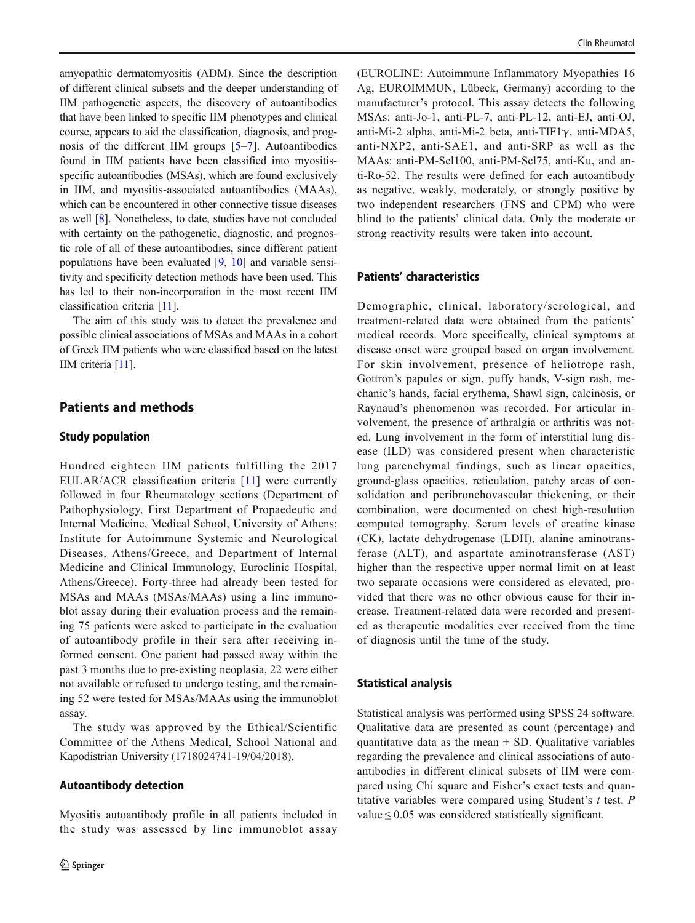amyopathic dermatomyositis (ADM). Since the description of different clinical subsets and the deeper understanding of IIM pathogenetic aspects, the discovery of autoantibodies that have been linked to specific IIM phenotypes and clinical course, appears to aid the classification, diagnosis, and prognosis of the different IIM groups [[5](#page-6-0)–[7\]](#page-6-0). Autoantibodies found in IIM patients have been classified into myositisspecific autoantibodies (MSAs), which are found exclusively in IIM, and myositis-associated autoantibodies (MAAs), which can be encountered in other connective tissue diseases as well [[8\]](#page-6-0). Nonetheless, to date, studies have not concluded with certainty on the pathogenetic, diagnostic, and prognostic role of all of these autoantibodies, since different patient populations have been evaluated [\[9](#page-6-0), [10\]](#page-6-0) and variable sensitivity and specificity detection methods have been used. This has led to their non-incorporation in the most recent IIM classification criteria [[11\]](#page-6-0).

The aim of this study was to detect the prevalence and possible clinical associations of MSAs and MAAs in a cohort of Greek IIM patients who were classified based on the latest IIM criteria [\[11\]](#page-6-0).

# Patients and methods

## Study population

Hundred eighteen IIM patients fulfilling the 2017 EULAR/ACR classification criteria [[11\]](#page-6-0) were currently followed in four Rheumatology sections (Department of Pathophysiology, First Department of Propaedeutic and Internal Medicine, Medical School, University of Athens; Institute for Autoimmune Systemic and Neurological Diseases, Athens/Greece, and Department of Internal Medicine and Clinical Immunology, Euroclinic Hospital, Athens/Greece). Forty-three had already been tested for MSAs and MAAs (MSAs/MAAs) using a line immunoblot assay during their evaluation process and the remaining 75 patients were asked to participate in the evaluation of autoantibody profile in their sera after receiving informed consent. One patient had passed away within the past 3 months due to pre-existing neoplasia, 22 were either not available or refused to undergo testing, and the remaining 52 were tested for MSAs/MAAs using the immunoblot assay.

The study was approved by the Ethical/Scientific Committee of the Athens Medical, School National and Kapodistrian University (1718024741-19/04/2018).

#### Autoantibody detection

Myositis autoantibody profile in all patients included in the study was assessed by line immunoblot assay (EUROLINE: Autoimmune Inflammatory Myopathies 16 Ag, EUROIMMUN, Lübeck, Germany) according to the manufacturer's protocol. This assay detects the following MSAs: anti-Jo-1, anti-PL-7, anti-PL-12, anti-EJ, anti-OJ, anti-Mi-2 alpha, anti-Mi-2 beta, anti-TIF1γ, anti-MDA5, anti-NXP2, anti-SAE1, and anti-SRP as well as the MAAs: anti-PM-Scl100, anti-PM-Scl75, anti-Ku, and anti-Ro-52. The results were defined for each autoantibody as negative, weakly, moderately, or strongly positive by two independent researchers (FNS and CPM) who were blind to the patients' clinical data. Only the moderate or strong reactivity results were taken into account.

## Patients' characteristics

Demographic, clinical, laboratory/serological, and treatment-related data were obtained from the patients' medical records. More specifically, clinical symptoms at disease onset were grouped based on organ involvement. For skin involvement, presence of heliotrope rash, Gottron's papules or sign, puffy hands, V-sign rash, mechanic's hands, facial erythema, Shawl sign, calcinosis, or Raynaud's phenomenon was recorded. For articular involvement, the presence of arthralgia or arthritis was noted. Lung involvement in the form of interstitial lung disease (ILD) was considered present when characteristic lung parenchymal findings, such as linear opacities, ground-glass opacities, reticulation, patchy areas of consolidation and peribronchovascular thickening, or their combination, were documented on chest high-resolution computed tomography. Serum levels of creatine kinase (CK), lactate dehydrogenase (LDH), alanine aminotransferase (ALT), and aspartate aminotransferase (AST) higher than the respective upper normal limit on at least two separate occasions were considered as elevated, provided that there was no other obvious cause for their increase. Treatment-related data were recorded and presented as therapeutic modalities ever received from the time of diagnosis until the time of the study.

## Statistical analysis

Statistical analysis was performed using SPSS 24 software. Qualitative data are presented as count (percentage) and quantitative data as the mean  $\pm$  SD. Qualitative variables regarding the prevalence and clinical associations of autoantibodies in different clinical subsets of IIM were compared using Chi square and Fisher's exact tests and quantitative variables were compared using Student's  $t$  test.  $P$ value  $\leq 0.05$  was considered statistically significant.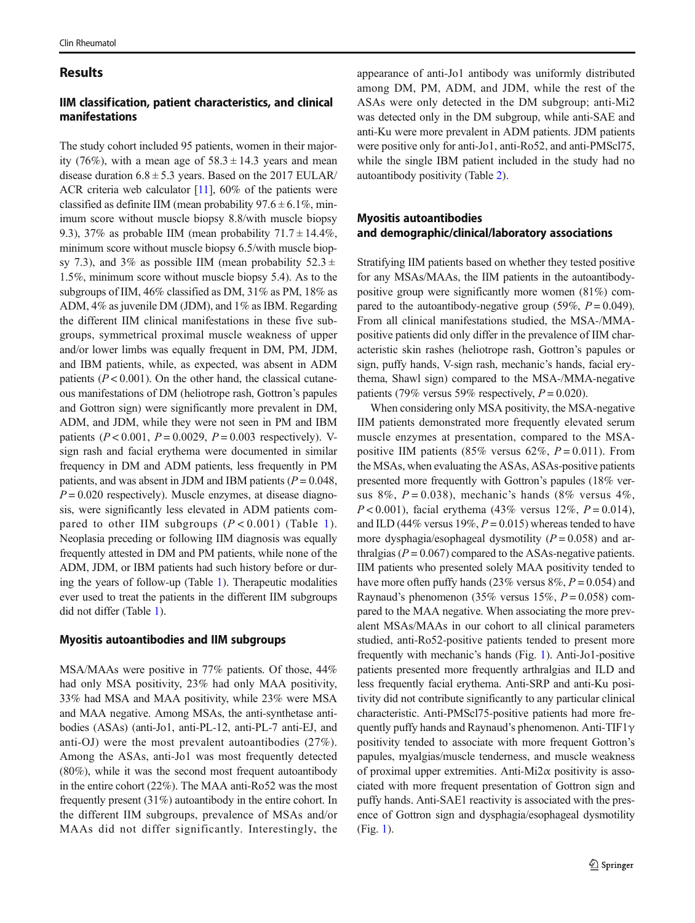## Results

# IIM classification, patient characteristics, and clinical manifestations

The study cohort included 95 patients, women in their majority (76%), with a mean age of  $58.3 \pm 14.3$  years and mean disease duration  $6.8 \pm 5.3$  years. Based on the 2017 EULAR/ ACR criteria web calculator  $[11]$  $[11]$  $[11]$ , 60% of the patients were classified as definite IIM (mean probability  $97.6 \pm 6.1\%$ , minimum score without muscle biopsy 8.8/with muscle biopsy 9.3), 37% as probable IIM (mean probability  $71.7 \pm 14.4\%$ , minimum score without muscle biopsy 6.5/with muscle biopsy 7.3), and 3% as possible IIM (mean probability  $52.3 \pm$ 1.5%, minimum score without muscle biopsy 5.4). As to the subgroups of IIM, 46% classified as DM, 31% as PM, 18% as ADM, 4% as juvenile DM (JDM), and 1% as IBM. Regarding the different IIM clinical manifestations in these five subgroups, symmetrical proximal muscle weakness of upper and/or lower limbs was equally frequent in DM, PM, JDM, and IBM patients, while, as expected, was absent in ADM patients ( $P < 0.001$ ). On the other hand, the classical cutaneous manifestations of DM (heliotrope rash, Gottron's papules and Gottron sign) were significantly more prevalent in DM, ADM, and JDM, while they were not seen in PM and IBM patients ( $P < 0.001$ ,  $P = 0.0029$ ,  $P = 0.003$  respectively). Vsign rash and facial erythema were documented in similar frequency in DM and ADM patients, less frequently in PM patients, and was absent in JDM and IBM patients ( $P = 0.048$ ,  $P = 0.020$  respectively). Muscle enzymes, at disease diagnosis, were significantly less elevated in ADM patients compared to other IIM subgroups  $(P < 0.001)$  $(P < 0.001)$  (Table 1). Neoplasia preceding or following IIM diagnosis was equally frequently attested in DM and PM patients, while none of the ADM, JDM, or IBM patients had such history before or during the years of follow-up (Table [1\)](#page-3-0). Therapeutic modalities ever used to treat the patients in the different IIM subgroups did not differ (Table [1\)](#page-3-0).

# Myositis autoantibodies and IIM subgroups

MSA/MAAs were positive in 77% patients. Of those, 44% had only MSA positivity, 23% had only MAA positivity, 33% had MSA and MAA positivity, while 23% were MSA and MAA negative. Among MSAs, the anti-synthetase antibodies (ASAs) (anti-Jo1, anti-PL-12, anti-PL-7 anti-EJ, and anti-OJ) were the most prevalent autoantibodies (27%). Among the ASAs, anti-Jo1 was most frequently detected (80%), while it was the second most frequent autoantibody in the entire cohort (22%). The MAA anti-Ro52 was the most frequently present (31%) autoantibody in the entire cohort. In the different IIM subgroups, prevalence of MSAs and/or MAAs did not differ significantly. Interestingly, the appearance of anti-Jo1 antibody was uniformly distributed among DM, PM, ADM, and JDM, while the rest of the ASAs were only detected in the DM subgroup; anti-Mi2 was detected only in the DM subgroup, while anti-SAE and anti-Ku were more prevalent in ADM patients. JDM patients were positive only for anti-Jo1, anti-Ro52, and anti-PMScl75, while the single IBM patient included in the study had no autoantibody positivity (Table [2](#page-4-0)).

# Myositis autoantibodies and demographic/clinical/laboratory associations

Stratifying IIM patients based on whether they tested positive for any MSAs/MAAs, the IIM patients in the autoantibodypositive group were significantly more women (81%) compared to the autoantibody-negative group (59%,  $P = 0.049$ ). From all clinical manifestations studied, the MSA-/MMApositive patients did only differ in the prevalence of IIM characteristic skin rashes (heliotrope rash, Gottron's papules or sign, puffy hands, V-sign rash, mechanic's hands, facial erythema, Shawl sign) compared to the MSA-/MMA-negative patients (79% versus 59% respectively,  $P = 0.020$ ).

When considering only MSA positivity, the MSA-negative IIM patients demonstrated more frequently elevated serum muscle enzymes at presentation, compared to the MSApositive IIM patients (85% versus 62%,  $P = 0.011$ ). From the MSAs, when evaluating the ASAs, ASAs-positive patients presented more frequently with Gottron's papules (18% versus 8%,  $P = 0.038$ ), mechanic's hands (8% versus 4%,  $P < 0.001$ ), facial erythema (43% versus 12%,  $P = 0.014$ ), and ILD (44% versus 19%,  $P = 0.015$ ) whereas tended to have more dysphagia/esophageal dysmotility  $(P = 0.058)$  and arthralgias ( $P = 0.067$ ) compared to the ASAs-negative patients. IIM patients who presented solely MAA positivity tended to have more often puffy hands (23% versus  $8\%, P = 0.054$ ) and Raynaud's phenomenon (35% versus 15%,  $P = 0.058$ ) compared to the MAA negative. When associating the more prevalent MSAs/MAAs in our cohort to all clinical parameters studied, anti-Ro52-positive patients tended to present more frequently with mechanic's hands (Fig. [1](#page-4-0)). Anti-Jo1-positive patients presented more frequently arthralgias and ILD and less frequently facial erythema. Anti-SRP and anti-Ku positivity did not contribute significantly to any particular clinical characteristic. Anti-PMScl75-positive patients had more frequently puffy hands and Raynaud's phenomenon. Anti-TIF1 $\gamma$ positivity tended to associate with more frequent Gottron's papules, myalgias/muscle tenderness, and muscle weakness of proximal upper extremities. Anti-Mi2 $\alpha$  positivity is associated with more frequent presentation of Gottron sign and puffy hands. Anti-SAE1 reactivity is associated with the presence of Gottron sign and dysphagia/esophageal dysmotility (Fig. [1](#page-4-0)).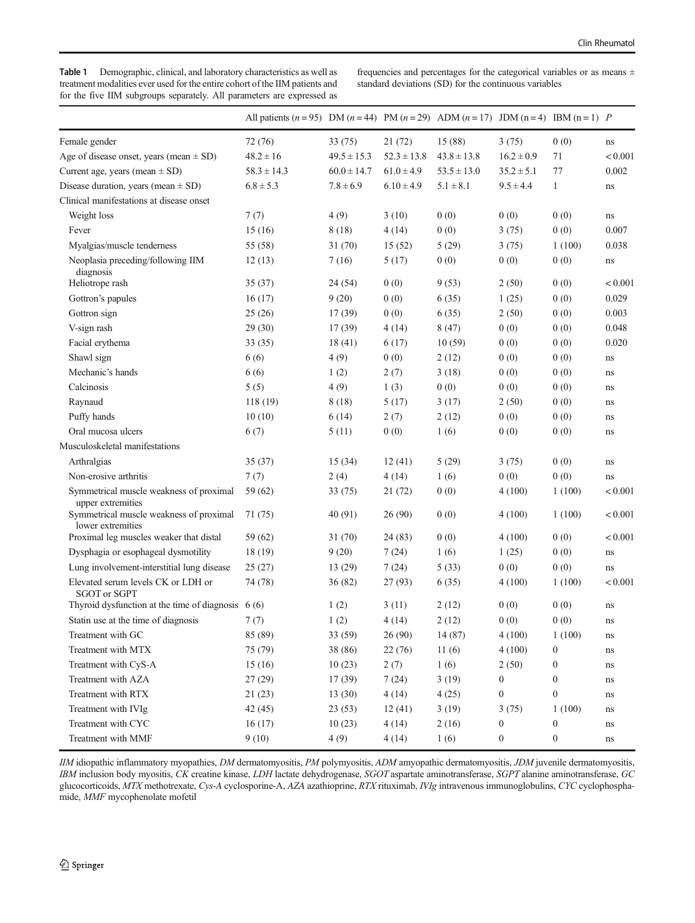<span id="page-3-0"></span>Table 1 Demographic, clinical, and laboratory characteristics as well as treatment modalities ever used for the entire cohort of the IIM patients and for the five IIM subgroups separately. All parameters are expressed as frequencies and percentages for the categorical variables or as means  $\pm$ standard deviations (SD) for the continuous variables

|                                                              | All patients $(n = 95)$ DM $(n = 44)$ PM $(n = 29)$ ADM $(n = 17)$ JDM $(n = 4)$ IBM $(n = 1)$ P |                 |                 |                 |                  |                  |          |
|--------------------------------------------------------------|--------------------------------------------------------------------------------------------------|-----------------|-----------------|-----------------|------------------|------------------|----------|
| Female gender                                                | 72(76)                                                                                           | 33(75)          | 21(72)          | 15 (88)         | 3(75)            | 0(0)             | ns       |
| Age of disease onset, years (mean $\pm$ SD)                  | $48.2 \pm 16$                                                                                    | $49.5 \pm 15.3$ | $52.3 \pm 13.8$ | $43.8 \pm 13.8$ | $16.2 \pm 0.9$   | 71               | < 0.001  |
| Current age, years (mean $\pm$ SD)                           | $58.3 \pm 14.3$                                                                                  | $60.0 \pm 14.7$ | $61.0 \pm 4.9$  | $53.5 \pm 13.0$ | $35.2 \pm 5.1$   | 77               | 0.002    |
| Disease duration, years (mean $\pm$ SD)                      | $6.8 \pm 5.3$                                                                                    | $7.8 \pm 6.9$   | $6.10 \pm 4.9$  | $5.1 \pm 8.1$   | $9.5 \pm 4.4$    | $\mathbf{1}$     | ns       |
| Clinical manifestations at disease onset                     |                                                                                                  |                 |                 |                 |                  |                  |          |
| Weight loss                                                  | 7(7)                                                                                             | 4(9)            | 3(10)           | 0(0)            | 0(0)             | 0(0)             | ns       |
| Fever                                                        | 15(16)                                                                                           | 8(18)           | 4(14)           | 0(0)            | 3(75)            | 0(0)             | 0.007    |
| Myalgias/muscle tenderness                                   | 55 (58)                                                                                          | 31 (70)         | 15(52)          | 5(29)           | 3(75)            | 1(100)           | 0.038    |
| Neoplasia preceding/following IIM<br>diagnosis               | 12(13)                                                                                           | 7(16)           | 5(17)           | 0(0)            | 0(0)             | 0(0)             | $\rm ns$ |
| Heliotrope rash                                              | 35(37)                                                                                           | 24 (54)         | 0(0)            | 9(53)           | 2(50)            | 0(0)             | < 0.001  |
| Gottron's papules                                            | 16(17)                                                                                           | 9(20)           | 0(0)            | 6(35)           | 1(25)            | 0(0)             | 0.029    |
| Gottron sign                                                 | 25(26)                                                                                           | 17(39)          | 0(0)            | 6(35)           | 2(50)            | 0(0)             | 0.003    |
| V-sign rash                                                  | 29(30)                                                                                           | 17(39)          | 4 (14)          | 8(47)           | 0(0)             | 0(0)             | 0.048    |
| Facial erythema                                              | 33(35)                                                                                           | 18(41)          | 6(17)           | 10(59)          | 0(0)             | 0(0)             | 0.020    |
| Shawl sign                                                   | 6(6)                                                                                             | 4(9)            | 0(0)            | 2(12)           | 0(0)             | 0(0)             | ns       |
| Mechanic's hands                                             | 6(6)                                                                                             | 1(2)            | 2(7)            | 3(18)           | 0(0)             | 0(0)             | ns       |
| Calcinosis                                                   | 5(5)                                                                                             | 4(9)            | 1(3)            | 0(0)            | 0(0)             | 0(0)             | ns       |
| Raynaud                                                      | 118(19)                                                                                          | 8 (18)          | 5(17)           | 3(17)           | 2(50)            | 0(0)             | ns       |
| Puffy hands                                                  | 10(10)                                                                                           | 6(14)           | 2(7)            | 2(12)           | 0(0)             | 0(0)             | ns       |
| Oral mucosa ulcers                                           | 6(7)                                                                                             | 5(11)           | 0(0)            | 1(6)            | 0(0)             | 0(0)             | ns       |
| Musculoskeletal manifestations                               |                                                                                                  |                 |                 |                 |                  |                  |          |
| Arthralgias                                                  | 35(37)                                                                                           | 15(34)          | 12(41)          | 5(29)           | 3(75)            | 0(0)             | ns       |
| Non-erosive arthritis                                        | 7(7)                                                                                             | 2(4)            | 4(14)           | 1(6)            | 0(0)             | 0(0)             | ns       |
| Symmetrical muscle weakness of proximal<br>upper extremities | 59(62)                                                                                           | 33 (75)         | 21(72)          | 0(0)            | 4(100)           | 1(100)           | < 0.001  |
| Symmetrical muscle weakness of proximal<br>lower extremities | 71 (75)                                                                                          | 40 (91)         | 26(90)          | 0(0)            | 4(100)           | 1(100)           | < 0.001  |
| Proximal leg muscles weaker that distal                      | 59 (62)                                                                                          | 31 (70)         | 24(83)          | 0(0)            | 4(100)           | 0(0)             | < 0.001  |
| Dysphagia or esophageal dysmotility                          | 18(19)                                                                                           | 9(20)           | 7(24)           | 1(6)            | 1(25)            | 0(0)             | ns       |
| Lung involvement-interstitial lung disease                   | 25(27)                                                                                           | 13 (29)         | 7(24)           | 5(33)           | 0(0)             | 0(0)             | ns       |
| Elevated serum levels CK or LDH or<br><b>SGOT</b> or SGPT    | 74 (78)                                                                                          | 36 (82)         | 27 (93)         | 6(35)           | 4(100)           | 1(100)           | < 0.001  |
| Thyroid dysfunction at the time of diagnosis $6(6)$          |                                                                                                  | 1(2)            | 3(11)           | 2(12)           | 0(0)             | 0(0)             | ns       |
| Statin use at the time of diagnosis                          | 7(7)                                                                                             | 1(2)            | 4 (14)          | 2(12)           | 0(0)             | 0(0)             | ns       |
| Treatment with GC                                            | 85 (89)                                                                                          | 33 (59)         | 26 (90)         | 14 (87)         | 4(100)           | 1(100)           | ns       |
| Treatment with MTX                                           | 75 (79)                                                                                          | 38 (86)         | 22(76)          | 11(6)           | 4(100)           | $\boldsymbol{0}$ | $\rm ns$ |
| Treatment with CyS-A                                         | 15(16)                                                                                           | 10(23)          | 2(7)            | 1(6)            | 2(50)            | $\boldsymbol{0}$ | $\rm ns$ |
| Treatment with AZA                                           | 27(29)                                                                                           | 17(39)          | 7(24)           | 3(19)           | $\boldsymbol{0}$ | $\boldsymbol{0}$ | $\rm ns$ |
| Treatment with RTX                                           | 21(23)                                                                                           | 13(30)          | 4(14)           | 4(25)           | $\boldsymbol{0}$ | $\boldsymbol{0}$ | ns       |
| Treatment with IVIg                                          | 42 (45)                                                                                          | 23(53)          | 12(41)          | 3(19)           | 3(75)            | 1(100)           | ns       |
| Treatment with CYC                                           | 16(17)                                                                                           | 10(23)          | 4(14)           | 2(16)           | $\boldsymbol{0}$ | $\boldsymbol{0}$ | ns       |
| Treatment with MMF                                           | 9(10)                                                                                            | 4(9)            | 4(14)           | 1(6)            | $\boldsymbol{0}$ | $\boldsymbol{0}$ | $\rm ns$ |

IIM idiopathic inflammatory myopathies, DM dermatomyositis, PM polymyositis, ADM amyopathic dermatomyositis, JDM juvenile dermatomyositis, IBM inclusion body myositis, CK creatine kinase, LDH lactate dehydrogenase, SGOT aspartate aminotransferase, SGPT alanine aminotransferase, GC glucocorticoids, MTX methotrexate, Cys-A cyclosporine-A, AZA azathioprine, RTX rituximab, IVIg intravenous immunoglobulins, CYC cyclophosphamide, MMF mycophenolate mofetil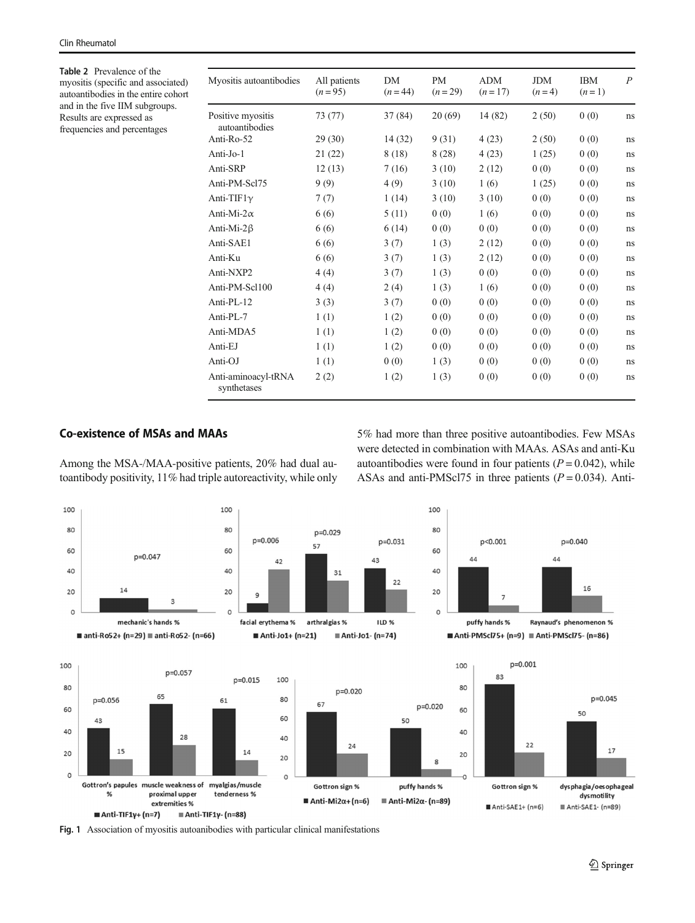<span id="page-4-0"></span>Table 2 Prevalence of the myositis (specific and associated) autoantibodies in the entire cohort and in the five IIM subgroups. Results are expressed as frequencies and percentages

| Myositis autoantibodies             | All patients<br>$(n=95)$ | <b>DM</b><br>$(n = 44)$ | <b>PM</b><br>$(n=29)$ | <b>ADM</b><br>$(n=17)$ | <b>JDM</b><br>$(n=4)$ | <b>IBM</b><br>$(n=1)$ | $\overline{P}$ |
|-------------------------------------|--------------------------|-------------------------|-----------------------|------------------------|-----------------------|-----------------------|----------------|
| Positive myositis<br>autoantibodies | 73 (77)                  | 37(84)                  | 20(69)                | 14 (82)                | 2(50)                 | 0(0)                  | ns             |
| Anti- $Ro-52$                       | 29(30)                   | 14(32)                  | 9(31)                 | 4(23)                  | 2(50)                 | 0(0)                  | ns             |
| Anti-Jo-1                           | 21(22)                   | 8(18)                   | 8(28)                 | 4(23)                  | 1(25)                 | 0(0)                  | ns             |
| Anti-SRP                            | 12(13)                   | 7(16)                   | 3(10)                 | 2(12)                  | 0(0)                  | 0(0)                  | ns             |
| Anti-PM-Scl75                       | 9(9)                     | 4(9)                    | 3(10)                 | 1(6)                   | 1(25)                 | 0(0)                  | ns             |
| Anti-TIF1 $\gamma$                  | 7(7)                     | 1(14)                   | 3(10)                 | 3(10)                  | 0(0)                  | 0(0)                  | ns             |
| Anti-Mi- $2\alpha$                  | 6(6)                     | 5(11)                   | 0(0)                  | 1(6)                   | 0(0)                  | 0(0)                  | ns             |
| Anti-Mi- $2\beta$                   | 6(6)                     | 6(14)                   | 0(0)                  | 0(0)                   | 0(0)                  | 0(0)                  | ns             |
| Anti-SAE1                           | 6(6)                     | 3(7)                    | 1(3)                  | 2(12)                  | 0(0)                  | 0(0)                  | ns             |
| Anti-Ku                             | 6(6)                     | 3(7)                    | 1(3)                  | 2(12)                  | 0(0)                  | 0(0)                  | ns             |
| Anti-NXP2                           | 4(4)                     | 3(7)                    | 1(3)                  | 0(0)                   | 0(0)                  | 0(0)                  | ns             |
| Anti-PM-Scl100                      | 4(4)                     | 2(4)                    | 1(3)                  | 1(6)                   | 0(0)                  | 0(0)                  | ns             |
| Anti- $PI - 12$                     | 3(3)                     | 3(7)                    | 0(0)                  | 0(0)                   | 0(0)                  | 0(0)                  | ns             |
| Anti-PL-7                           | 1(1)                     | 1(2)                    | 0(0)                  | 0(0)                   | 0(0)                  | 0(0)                  | ns             |
| Anti-MDA5                           | 1(1)                     | 1(2)                    | 0(0)                  | 0(0)                   | 0(0)                  | 0(0)                  | ns             |
| Anti-EJ                             | 1(1)                     | 1(2)                    | 0(0)                  | 0(0)                   | 0(0)                  | 0(0)                  | ns             |
| Anti-OJ                             | 1(1)                     | 0(0)                    | 1(3)                  | 0(0)                   | 0(0)                  | 0(0)                  | ns             |
| Anti-aminoacyl-tRNA<br>synthetases  | 2(2)                     | 1(2)                    | 1(3)                  | 0(0)                   | 0(0)                  | 0(0)                  | ns             |

## Co-existence of MSAs and MAAs

Among the MSA-/MAA-positive patients, 20% had dual autoantibody positivity, 11% had triple autoreactivity, while only 5% had more than three positive autoantibodies. Few MSAs were detected in combination with MAAs. ASAs and anti-Ku autoantibodies were found in four patients  $(P = 0.042)$ , while ASAs and anti-PMScl75 in three patients  $(P = 0.034)$ . Anti-



Fig. 1 Association of myositis autoanibodies with particular clinical manifestations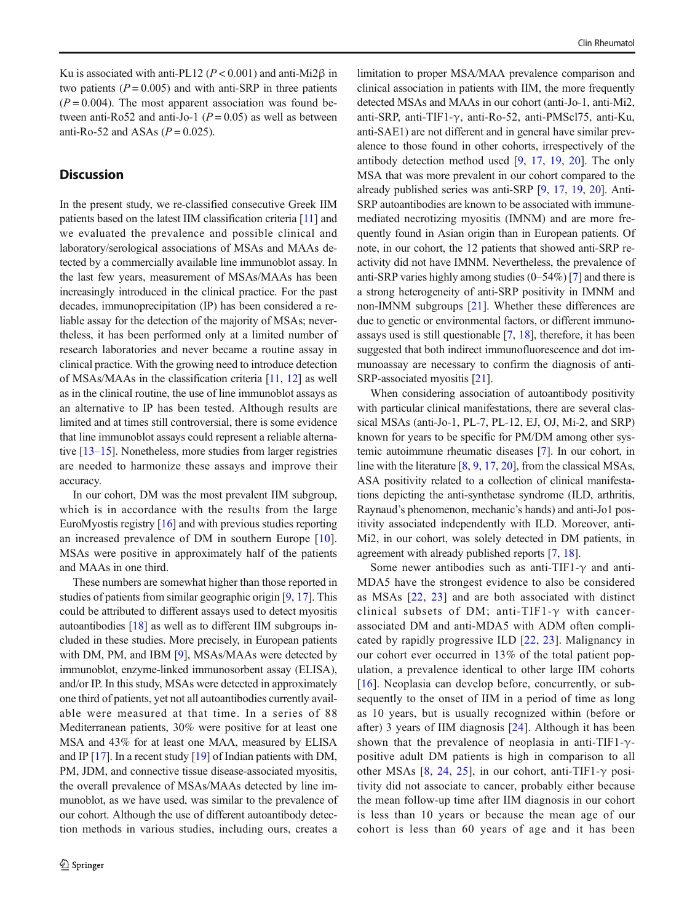Ku is associated with anti-PL12 ( $P < 0.001$ ) and anti-Mi2 $\beta$  in two patients  $(P = 0.005)$  and with anti-SRP in three patients  $(P = 0.004)$ . The most apparent association was found between anti-Ro52 and anti-Jo-1 ( $P = 0.05$ ) as well as between anti-Ro-52 and ASAs  $(P = 0.025)$ .

## **Discussion**

In the present study, we re-classified consecutive Greek IIM patients based on the latest IIM classification criteria [[11](#page-6-0)] and we evaluated the prevalence and possible clinical and laboratory/serological associations of MSAs and MAAs detected by a commercially available line immunoblot assay. In the last few years, measurement of MSAs/MAAs has been increasingly introduced in the clinical practice. For the past decades, immunoprecipitation (IP) has been considered a reliable assay for the detection of the majority of MSAs; nevertheless, it has been performed only at a limited number of research laboratories and never became a routine assay in clinical practice. With the growing need to introduce detection of MSAs/MAAs in the classification criteria [[11](#page-6-0), [12](#page-6-0)] as well as in the clinical routine, the use of line immunoblot assays as an alternative to IP has been tested. Although results are limited and at times still controversial, there is some evidence that line immunoblot assays could represent a reliable alternative [\[13](#page-6-0)–[15\]](#page-7-0). Nonetheless, more studies from larger registries are needed to harmonize these assays and improve their accuracy.

In our cohort, DM was the most prevalent IIM subgroup, which is in accordance with the results from the large EuroMyostis registry [\[16\]](#page-7-0) and with previous studies reporting an increased prevalence of DM in southern Europe [[10](#page-6-0)]. MSAs were positive in approximately half of the patients and MAAs in one third.

These numbers are somewhat higher than those reported in studies of patients from similar geographic origin [\[9,](#page-6-0) [17](#page-7-0)]. This could be attributed to different assays used to detect myositis autoantibodies [\[18](#page-7-0)] as well as to different IIM subgroups included in these studies. More precisely, in European patients with DM, PM, and IBM [[9](#page-6-0)], MSAs/MAAs were detected by immunoblot, enzyme-linked immunosorbent assay (ELISA), and/or IP. In this study, MSAs were detected in approximately one third of patients, yet not all autoantibodies currently available were measured at that time. In a series of 88 Mediterranean patients, 30% were positive for at least one MSA and 43% for at least one MAA, measured by ELISA and IP  $[17]$ . In a recent study  $[19]$  $[19]$  of Indian patients with DM, PM, JDM, and connective tissue disease-associated myositis, the overall prevalence of MSAs/MAAs detected by line immunoblot, as we have used, was similar to the prevalence of our cohort. Although the use of different autoantibody detection methods in various studies, including ours, creates a

limitation to proper MSA/MAA prevalence comparison and clinical association in patients with IIM, the more frequently detected MSAs and MAAs in our cohort (anti-Jo-1, anti-Mi2, anti-SRP, anti-TIF1-γ, anti-Ro-52, anti-PMScl75, anti-Ku, anti-SAE1) are not different and in general have similar prevalence to those found in other cohorts, irrespectively of the antibody detection method used [[9,](#page-6-0) [17](#page-7-0), [19](#page-7-0), [20\]](#page-7-0). The only MSA that was more prevalent in our cohort compared to the already published series was anti-SRP [[9,](#page-6-0) [17](#page-7-0), [19,](#page-7-0) [20](#page-7-0)]. Anti-SRP autoantibodies are known to be associated with immunemediated necrotizing myositis (IMNM) and are more frequently found in Asian origin than in European patients. Of note, in our cohort, the 12 patients that showed anti-SRP reactivity did not have IMNM. Nevertheless, the prevalence of anti-SRP varies highly among studies (0–54%) [[7\]](#page-6-0) and there is a strong heterogeneity of anti-SRP positivity in IMNM and non-IMNM subgroups [[21\]](#page-7-0). Whether these differences are due to genetic or environmental factors, or different immunoassays used is still questionable [[7](#page-6-0), [18](#page-7-0)], therefore, it has been suggested that both indirect immunofluorescence and dot immunoassay are necessary to confirm the diagnosis of anti-SRP-associated myositis [\[21](#page-7-0)].

When considering association of autoantibody positivity with particular clinical manifestations, there are several classical MSAs (anti-Jo-1, PL-7, PL-12, EJ, OJ, Mi-2, and SRP) known for years to be specific for PM/DM among other systemic autoimmune rheumatic diseases [[7\]](#page-6-0). In our cohort, in line with the literature [\[8,](#page-6-0) [9](#page-6-0), [17,](#page-7-0) [20](#page-7-0)], from the classical MSAs, ASA positivity related to a collection of clinical manifestations depicting the anti-synthetase syndrome (ILD, arthritis, Raynaud's phenomenon, mechanic's hands) and anti-Jo1 positivity associated independently with ILD. Moreover, anti-Mi2, in our cohort, was solely detected in DM patients, in agreement with already published reports [[7,](#page-6-0) [18](#page-7-0)].

Some newer antibodies such as anti-TIF1- $\gamma$  and anti-MDA5 have the strongest evidence to also be considered as MSAs [[22,](#page-7-0) [23\]](#page-7-0) and are both associated with distinct clinical subsets of DM; anti-TIF1- $\gamma$  with cancerassociated DM and anti-MDA5 with ADM often complicated by rapidly progressive ILD [\[22,](#page-7-0) [23\]](#page-7-0). Malignancy in our cohort ever occurred in 13% of the total patient population, a prevalence identical to other large IIM cohorts [\[16\]](#page-7-0). Neoplasia can develop before, concurrently, or subsequently to the onset of IIM in a period of time as long as 10 years, but is usually recognized within (before or after) 3 years of IIM diagnosis [[24](#page-7-0)]. Although it has been shown that the prevalence of neoplasia in anti-TIF1- $\gamma$ positive adult DM patients is high in comparison to all other MSAs [\[8,](#page-6-0) [24](#page-7-0), [25\]](#page-7-0), in our cohort, anti-TIF1- $\gamma$  positivity did not associate to cancer, probably either because the mean follow-up time after IIM diagnosis in our cohort is less than 10 years or because the mean age of our cohort is less than 60 years of age and it has been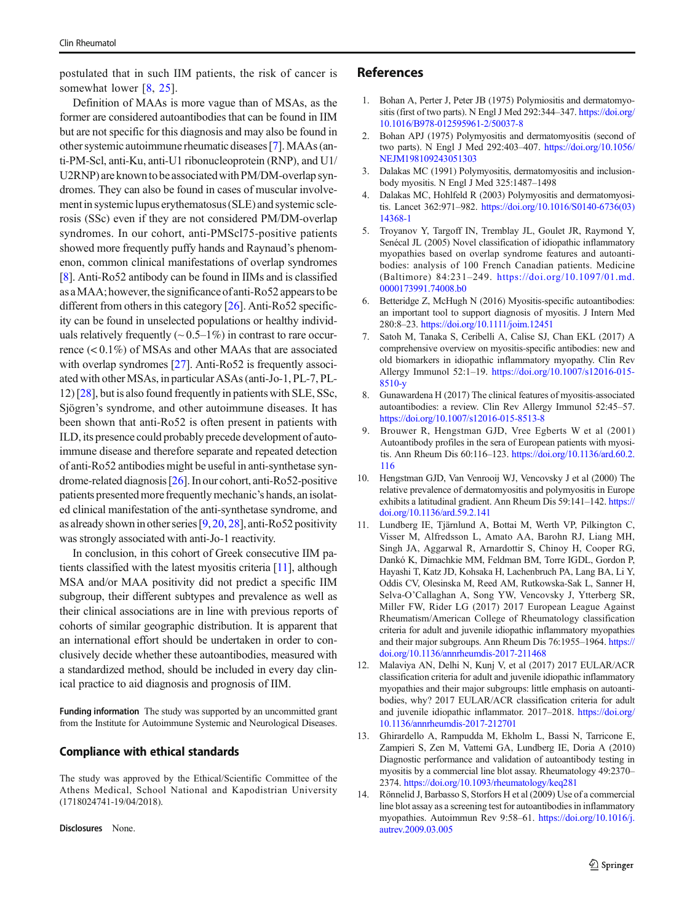<span id="page-6-0"></span>postulated that in such IIM patients, the risk of cancer is somewhat lower [8, [25\]](#page-7-0).

Definition of MAAs is more vague than of MSAs, as the former are considered autoantibodies that can be found in IIM but are not specific for this diagnosis and may also be found in other systemic autoimmune rheumatic diseases [7].MAAs (anti-PM-Scl, anti-Ku, anti-U1 ribonucleoprotein (RNP), and U1/ U2RNP) are known to be associated with PM/DM-overlap syndromes. They can also be found in cases of muscular involvement in systemic lupus erythematosus (SLE) and systemic sclerosis (SSc) even if they are not considered PM/DM-overlap syndromes. In our cohort, anti-PMScl75-positive patients showed more frequently puffy hands and Raynaud's phenomenon, common clinical manifestations of overlap syndromes [8]. Anti-Ro52 antibody can be found in IIMs and is classified as a MAA; however, the significance of anti-Ro52 appears to be different from others in this category [\[26](#page-7-0)]. Anti-Ro52 specificity can be found in unselected populations or healthy individuals relatively frequently  $(\sim 0.5-1\%)$  in contrast to rare occurrence (< 0.1%) of MSAs and other MAAs that are associated with overlap syndromes [[27\]](#page-7-0). Anti-Ro52 is frequently associated with other MSAs, in particular ASAs (anti-Jo-1, PL-7, PL-12) [[28\]](#page-7-0), but is also found frequently in patients with SLE, SSc, Sjögren's syndrome, and other autoimmune diseases. It has been shown that anti-Ro52 is often present in patients with ILD, its presence could probably precede development of autoimmune disease and therefore separate and repeated detection of anti-Ro52 antibodies might be useful in anti-synthetase syndrome-related diagnosis [[26](#page-7-0)]. In our cohort, anti-Ro52-positive patients presented more frequently mechanic's hands, anisolated clinical manifestation of the anti-synthetase syndrome, and as already shown in other series [9, [20,](#page-7-0) [28\]](#page-7-0), anti-Ro52 positivity was strongly associated with anti-Jo-1 reactivity.

In conclusion, in this cohort of Greek consecutive IIM patients classified with the latest myositis criteria [11], although MSA and/or MAA positivity did not predict a specific IIM subgroup, their different subtypes and prevalence as well as their clinical associations are in line with previous reports of cohorts of similar geographic distribution. It is apparent that an international effort should be undertaken in order to conclusively decide whether these autoantibodies, measured with a standardized method, should be included in every day clinical practice to aid diagnosis and prognosis of IIM.

Funding information The study was supported by an uncommitted grant from the Institute for Autoimmune Systemic and Neurological Diseases.

## Compliance with ethical standards

The study was approved by the Ethical/Scientific Committee of the Athens Medical, School National and Kapodistrian University (1718024741-19/04/2018).

Disclosures None.

## References

- 1. Bohan A, Perter J, Peter JB (1975) Polymiositis and dermatomyositis (first of two parts). N Engl J Med 292:344–347. [https://doi.org/](https://doi.org/10.1016/B978-012595961-2/50037-8) [10.1016/B978-012595961-2/50037-8](https://doi.org/10.1016/B978-012595961-2/50037-8)
- 2. Bohan APJ (1975) Polymyositis and dermatomyositis (second of two parts). N Engl J Med 292:403–407. [https://doi.org/10.1056/](https://doi.org/10.1056/NEJM198109243051303) [NEJM198109243051303](https://doi.org/10.1056/NEJM198109243051303)
- 3. Dalakas MC (1991) Polymyositis, dermatomyositis and inclusionbody myositis. N Engl J Med 325:1487–1498
- 4. Dalakas MC, Hohlfeld R (2003) Polymyositis and dermatomyositis. Lancet 362:971–982. [https://doi.org/10.1016/S0140-6736\(03\)](https://doi.org/10.1016/S0140-6736(03)14368-1) [14368-1](https://doi.org/10.1016/S0140-6736(03)14368-1)
- 5. Troyanov Y, Targoff IN, Tremblay JL, Goulet JR, Raymond Y, Senécal JL (2005) Novel classification of idiopathic inflammatory myopathies based on overlap syndrome features and autoantibodies: analysis of 100 French Canadian patients. Medicine (Baltimore) 84:231–249. [https://doi.org/10.1097/01.md.](https://doi.org/10.1097/01.md.0000173991.74008.b0) [0000173991.74008.b0](https://doi.org/10.1097/01.md.0000173991.74008.b0)
- 6. Betteridge Z, McHugh N (2016) Myositis-specific autoantibodies: an important tool to support diagnosis of myositis. J Intern Med 280:8–23. <https://doi.org/10.1111/joim.12451>
- 7. Satoh M, Tanaka S, Ceribelli A, Calise SJ, Chan EKL (2017) A comprehensive overview on myositis-specific antibodies: new and old biomarkers in idiopathic inflammatory myopathy. Clin Rev Allergy Immunol 52:1–19. [https://doi.org/10.1007/s12016-015-](https://doi.org/10.1007/s12016-015-8510-y) [8510-y](https://doi.org/10.1007/s12016-015-8510-y)
- 8. Gunawardena H (2017) The clinical features of myositis-associated autoantibodies: a review. Clin Rev Allergy Immunol 52:45–57. <https://doi.org/10.1007/s12016-015-8513-8>
- 9. Brouwer R, Hengstman GJD, Vree Egberts W et al (2001) Autoantibody profiles in the sera of European patients with myositis. Ann Rheum Dis 60:116–123. [https://doi.org/10.1136/ard.60.2.](https://doi.org/10.1136/ard.60.2.116) [116](https://doi.org/10.1136/ard.60.2.116)
- 10. Hengstman GJD, Van Venrooij WJ, Vencovsky J et al (2000) The relative prevalence of dermatomyositis and polymyositis in Europe exhibits a latitudinal gradient. Ann Rheum Dis 59:141–142. [https://](https://doi.org/10.1136/ard.59.2.141) [doi.org/10.1136/ard.59.2.141](https://doi.org/10.1136/ard.59.2.141)
- 11. Lundberg IE, Tjärnlund A, Bottai M, Werth VP, Pilkington C, Visser M, Alfredsson L, Amato AA, Barohn RJ, Liang MH, Singh JA, Aggarwal R, Arnardottir S, Chinoy H, Cooper RG, Dankó K, Dimachkie MM, Feldman BM, Torre IGDL, Gordon P, Hayashi T, Katz JD, Kohsaka H, Lachenbruch PA, Lang BA, Li Y, Oddis CV, Olesinska M, Reed AM, Rutkowska-Sak L, Sanner H, Selva-O'Callaghan A, Song YW, Vencovsky J, Ytterberg SR, Miller FW, Rider LG (2017) 2017 European League Against Rheumatism/American College of Rheumatology classification criteria for adult and juvenile idiopathic inflammatory myopathies and their major subgroups. Ann Rheum Dis 76:1955–1964. [https://](https://doi.org/10.1136/annrheumdis-2017-211468) [doi.org/10.1136/annrheumdis-2017-211468](https://doi.org/10.1136/annrheumdis-2017-211468)
- 12. Malaviya AN, Delhi N, Kunj V, et al (2017) 2017 EULAR/ACR classification criteria for adult and juvenile idiopathic inflammatory myopathies and their major subgroups: little emphasis on autoantibodies, why? 2017 EULAR/ACR classification criteria for adult and juvenile idiopathic inflammator. 2017–2018. [https://doi.org/](https://doi.org/10.1136/annrheumdis-2017-212701) [10.1136/annrheumdis-2017-212701](https://doi.org/10.1136/annrheumdis-2017-212701)
- 13. Ghirardello A, Rampudda M, Ekholm L, Bassi N, Tarricone E, Zampieri S, Zen M, Vattemi GA, Lundberg IE, Doria A (2010) Diagnostic performance and validation of autoantibody testing in myositis by a commercial line blot assay. Rheumatology 49:2370– 2374. <https://doi.org/10.1093/rheumatology/keq281>
- 14. Rönnelid J, Barbasso S, Storfors H et al (2009) Use of a commercial line blot assay as a screening test for autoantibodies in inflammatory myopathies. Autoimmun Rev 9:58–61. [https://doi.org/10.1016/j.](https://doi.org/10.1016/j.autrev.2009.03.005) [autrev.2009.03.005](https://doi.org/10.1016/j.autrev.2009.03.005)